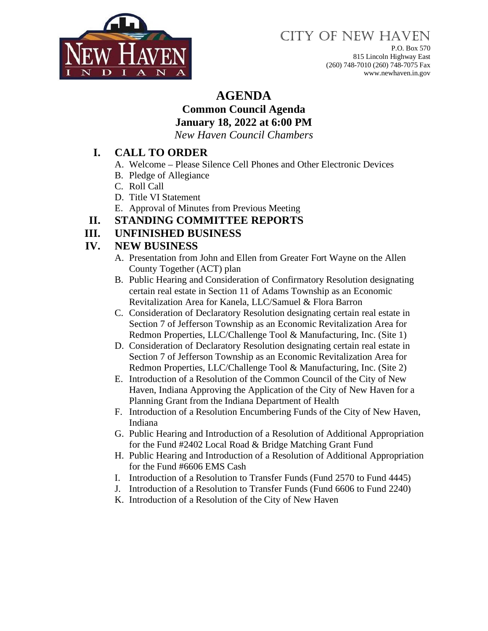

# CITY OF NEW HAVEN

P.O. Box 570 815 Lincoln Highway East (260) 748-7010 (260) 748-7075 Fax www.newhaven.in.gov

## **AGENDA**

### **Common Council Agenda**

**January 18, 2022 at 6:00 PM**

*New Haven Council Chambers*

#### **I. CALL TO ORDER**

- A. Welcome Please Silence Cell Phones and Other Electronic Devices
- B. Pledge of Allegiance
- C. Roll Call
- D. Title VI Statement
- E. Approval of Minutes from Previous Meeting
- **II. STANDING COMMITTEE REPORTS**

#### **III. UNFINISHED BUSINESS**

#### **IV. NEW BUSINESS**

- A. Presentation from John and Ellen from Greater Fort Wayne on the Allen County Together (ACT) plan
- B. Public Hearing and Consideration of Confirmatory Resolution designating certain real estate in Section 11 of Adams Township as an Economic Revitalization Area for Kanela, LLC/Samuel & Flora Barron
- C. Consideration of Declaratory Resolution designating certain real estate in Section 7 of Jefferson Township as an Economic Revitalization Area for Redmon Properties, LLC/Challenge Tool & Manufacturing, Inc. (Site 1)
- D. Consideration of Declaratory Resolution designating certain real estate in Section 7 of Jefferson Township as an Economic Revitalization Area for Redmon Properties, LLC/Challenge Tool & Manufacturing, Inc. (Site 2)
- E. Introduction of a Resolution of the Common Council of the City of New Haven, Indiana Approving the Application of the City of New Haven for a Planning Grant from the Indiana Department of Health
- F. Introduction of a Resolution Encumbering Funds of the City of New Haven, Indiana
- G. Public Hearing and Introduction of a Resolution of Additional Appropriation for the Fund #2402 Local Road & Bridge Matching Grant Fund
- H. Public Hearing and Introduction of a Resolution of Additional Appropriation for the Fund #6606 EMS Cash
- I. Introduction of a Resolution to Transfer Funds (Fund 2570 to Fund 4445)
- J. Introduction of a Resolution to Transfer Funds (Fund 6606 to Fund 2240)
- K. Introduction of a Resolution of the City of New Haven